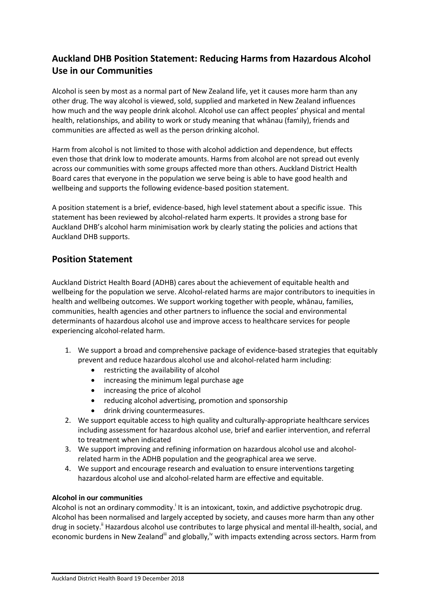# **Auckland DHB Position Statement: Reducing Harms from Hazardous Alcohol Use in our Communities**

Alcohol is seen by most as a normal part of New Zealand life, yet it causes more harm than any other drug. The way alcohol is viewed, sold, supplied and marketed in New Zealand influences how much and the way people drink alcohol. Alcohol use can affect peoples' physical and mental health, relationships, and ability to work or study meaning that whānau (family), friends and communities are affected as well as the person drinking alcohol.

Harm from alcohol is not limited to those with alcohol addiction and dependence, but effects even those that drink low to moderate amounts. Harms from alcohol are not spread out evenly across our communities with some groups affected more than others. Auckland District Health Board cares that everyone in the population we serve being is able to have good health and wellbeing and supports the following evidence-based position statement.

A position statement is a brief, evidence-based, high level statement about a specific issue. This statement has been reviewed by alcohol-related harm experts. It provides a strong base for Auckland DHB's alcohol harm minimisation work by clearly stating the policies and actions that Auckland DHB supports.

## **Position Statement**

Auckland District Health Board (ADHB) cares about the achievement of equitable health and wellbeing for the population we serve. Alcohol-related harms are major contributors to inequities in health and wellbeing outcomes. We support working together with people, whānau, families, communities, health agencies and other partners to influence the social and environmental determinants of hazardous alcohol use and improve access to healthcare services for people experiencing alcohol-related harm.

- 1. We support a broad and comprehensive package of evidence-based strategies that equitably prevent and reduce hazardous alcohol use and alcohol-related harm including:
	- restricting the availability of alcohol
	- increasing the minimum legal purchase age
	- increasing the price of alcohol
	- reducing alcohol advertising, promotion and sponsorship
	- drink driving countermeasures.
- 2. We support equitable access to high quality and culturally-appropriate healthcare services including assessment for hazardous alcohol use, brief and earlier intervention, and referral to treatment when indicated
- 3. We support improving and refining information on hazardous alcohol use and alcoholrelated harm in the ADHB population and the geographical area we serve.
- 4. We support and encourage research and evaluation to ensure interventions targeting hazardous alcohol use and alcohol-related harm are effective and equitable.

### **Alcohol in our communities**

Alcohol is not an ordinary commodity.<sup>i</sup> It is an intoxicant, toxin, and addictive psychotropic drug. Alcohol has been normalised and largely accepted by society, and causes more harm than any other drug in society.<sup>"</sup> Hazardous alcohol use contributes to large physical and mental ill-health, social, and economic burdens in New Zealand<sup>iii</sup> and globally,<sup>iv</sup> with impacts extending across sectors. Harm from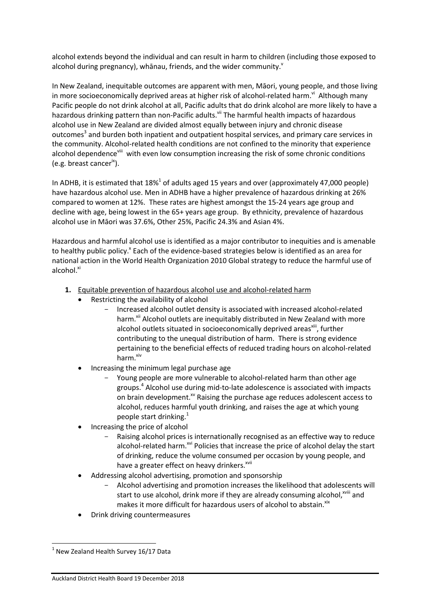alcohol extends beyond the individual and can result in harm to children (including those exposed to alcohol during pregnancy), whānau, friends, and the wider community. $v^2$ 

In New Zealand, inequitable outcomes are apparent with men, Māori, young people, and those living in more socioeconomically deprived areas at higher risk of alcohol-related harm.<sup>vi</sup> Although many Pacific people do not drink alcohol at all, Pacific adults that do drink alcohol are more likely to have a hazardous drinking pattern than non-Pacific adults.<sup>vii</sup> The harmful health impacts of hazardous alcohol use in New Zealand are divided almost equally between injury and chronic disease outcomes<sup>3</sup> and burden both inpatient and outpatient hospital services, and primary care services in the community. Alcohol-related health conditions are not confined to the minority that experience alcohol dependence<sup>viii</sup> with even low consumption increasing the risk of some chronic conditions (e.g. breast cancer<sup>ix</sup>).

In ADHB, it is estimated that  $18\%$ <sup>1</sup> of adults aged 15 years and over (approximately 47,000 people) have hazardous alcohol use. Men in ADHB have a higher prevalence of hazardous drinking at 26% compared to women at 12%. These rates are highest amongst the 15-24 years age group and decline with age, being lowest in the 65+ years age group. By ethnicity, prevalence of hazardous alcohol use in Māori was 37.6%, Other 25%, Pacific 24.3% and Asian 4%.

Hazardous and harmful alcohol use is identified as a major contributor to inequities and is amenable to healthy public policy.<sup>x</sup> Each of the evidence-based strategies below is identified as an area for national action in the World Health Organization 2010 Global strategy to reduce the harmful use of alcohol.<sup>xi</sup>

- **1.** Equitable prevention of hazardous alcohol use and alcohol-related harm
	- Restricting the availability of alcohol
		- Increased alcohol outlet density is associated with increased alcohol-related harm.<sup>xii</sup> Alcohol outlets are inequitably distributed in New Zealand with more alcohol outlets situated in socioeconomically deprived areas<sup>xiii</sup>, further contributing to the unequal distribution of harm. There is strong evidence pertaining to the beneficial effects of reduced trading hours on alcohol-related harm. $^{xiv}$
	- Increasing the minimum legal purchase age
		- Young people are more vulnerable to alcohol-related harm than other age groups.<sup>4</sup> Alcohol use during mid-to-late adolescence is associated with impacts on brain development.<sup>xv</sup> Raising the purchase age reduces adolescent access to alcohol, reduces harmful youth drinking, and raises the age at which young people start drinking. $1$
	- Increasing the price of alcohol
		- Raising alcohol prices is internationally recognised as an effective way to reduce alcohol-related harm.<sup>xvi</sup> Policies that increase the price of alcohol delay the start of drinking, reduce the volume consumed per occasion by young people, and have a greater effect on heavy drinkers.<sup>xvii</sup>
	- Addressing alcohol advertising, promotion and sponsorship
		- Alcohol advertising and promotion increases the likelihood that adolescents will start to use alcohol, drink more if they are already consuming alcohol, xviii and makes it more difficult for hazardous users of alcohol to abstain.<sup>xix</sup>
	- Drink driving countermeasures

**.** 

 $<sup>1</sup>$  New Zealand Health Survey 16/17 Data</sup>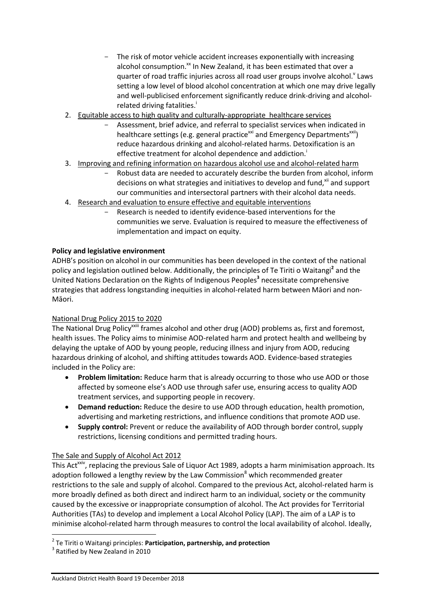- The risk of motor vehicle accident increases exponentially with increasing alcohol consumption.<sup>xx</sup> In New Zealand, it has been estimated that over a quarter of road traffic injuries across all road user groups involve alcohol.<sup>v</sup> Laws setting a low level of blood alcohol concentration at which one may drive legally and well-publicised enforcement significantly reduce drink-driving and alcoholrelated driving fatalities.
- 2. Equitable access to high quality and culturally-appropriate healthcare services
	- Assessment, brief advice, and referral to specialist services when indicated in healthcare settings (e.g. general practice<sup>xxi</sup> and Emergency Departments<sup>xxii</sup>) reduce hazardous drinking and alcohol-related harms. Detoxification is an effective treatment for alcohol dependence and addiction.<sup>1</sup>
- 3. Improving and refining information on hazardous alcohol use and alcohol-related harm
	- Robust data are needed to accurately describe the burden from alcohol, inform decisions on what strategies and initiatives to develop and fund, $x<sup>ii</sup>$  and support our communities and intersectoral partners with their alcohol data needs.
- 4. Research and evaluation to ensure effective and equitable interventions
	- Research is needed to identify evidence-based interventions for the communities we serve. Evaluation is required to measure the effectiveness of implementation and impact on equity.

### **Policy and legislative environment**

ADHB's position on alcohol in our communities has been developed in the context of the national policy and legislation outlined below. Additionally, the principles of Te Tiriti o Waitangi<sup>2</sup> and the United Nations Declaration on the Rights of Indigenous Peoples**<sup>3</sup>** necessitate comprehensive strategies that address longstanding inequities in alcohol-related harm between Māori and non-Māori.

### National Drug Policy 2015 to 2020

The National Drug Policy<sup>xxiii</sup> frames alcohol and other drug (AOD) problems as, first and foremost, health issues. The Policy aims to minimise AOD-related harm and protect health and wellbeing by delaying the uptake of AOD by young people, reducing illness and injury from AOD, reducing hazardous drinking of alcohol, and shifting attitudes towards AOD. Evidence-based strategies included in the Policy are:

- **Problem limitation:** Reduce harm that is already occurring to those who use AOD or those affected by someone else's AOD use through safer use, ensuring access to quality AOD treatment services, and supporting people in recovery.
- **Demand reduction:** Reduce the desire to use AOD through education, health promotion, advertising and marketing restrictions, and influence conditions that promote AOD use.
- **Supply control:** Prevent or reduce the availability of AOD through border control, supply restrictions, licensing conditions and permitted trading hours.

### The Sale and Supply of Alcohol Act 2012

This Act<sup>xxiv</sup>, replacing the previous Sale of Liquor Act 1989, adopts a harm minimisation approach. Its adoption followed a lengthy review by the Law Commission $<sup>8</sup>$  which recommended greater</sup> restrictions to the sale and supply of alcohol. Compared to the previous Act, alcohol-related harm is more broadly defined as both direct and indirect harm to an individual, society or the community caused by the excessive or inappropriate consumption of alcohol. The Act provides for Territorial Authorities (TAs) to develop and implement a Local Alcohol Policy (LAP). The aim of a LAP is to minimise alcohol-related harm through measures to control the local availability of alcohol. Ideally,

**.** 

<sup>2</sup> Te Tiriti o Waitangi principles: **Participation, partnership, and protection**

<sup>&</sup>lt;sup>3</sup> Ratified by New Zealand in 2010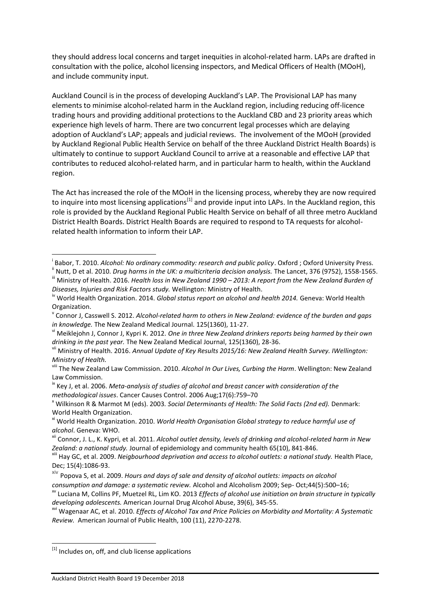they should address local concerns and target inequities in alcohol-related harm. LAPs are drafted in consultation with the police, alcohol licensing inspectors, and Medical Officers of Health (MOoH), and include community input.

Auckland Council is in the process of developing Auckland's LAP. The Provisional LAP has many elements to minimise alcohol-related harm in the Auckland region, including reducing off-licence trading hours and providing additional protections to the Auckland CBD and 23 priority areas which experience high levels of harm. There are two concurrent legal processes which are delaying adoption of Auckland's LAP; appeals and judicial reviews. The involvement of the MOoH (provided by Auckland Regional Public Health Service on behalf of the three Auckland District Health Boards) is ultimately to continue to support Auckland Council to arrive at a reasonable and effective LAP that contributes to reduced alcohol-related harm, and in particular harm to health, within the Auckland region.

The Act has increased the role of the MOoH in the licensing process, whereby they are now required to inquire into most licensing applications<sup>[1]</sup> and provide input into LAPs. In the Auckland region, this role is provided by the Auckland Regional Public Health Service on behalf of all three metro Auckland District Health Boards. District Health Boards are required to respond to TA requests for alcoholrelated health information to inform their LAP.

<sup>ix</sup> Key J, et al. 2006. *Meta-analysis of studies of alcohol and breast cancer with consideration of the methodological issues*. Cancer Causes Control. 2006 Aug;17(6):759–70

<sup>x</sup> Wilkinson R & Marmot M (eds). 2003*. Social Determinants of Health: The Solid Facts (2nd ed).* Denmark: World Health Organization.

1

**.** 

i Babor, T. 2010. *Alcohol: No ordinary commodity: research and public policy*. Oxford ; Oxford University Press.

<sup>&</sup>lt;sup>ii</sup> Nutt. D et al. 2010. *Drug harms in the UK: a multicriteria decision analysis.* The Lancet, 376 (9752), 1558-1565. iii Ministry of Health. 2016. *Health loss in New Zealand 1990 – 2013: A report from the New Zealand Burden of Diseases, Injuries and Risk Factors study.* Wellington: Ministry of Health.

iv World Health Organization. 2014. *Global status report on alcohol and health 2014.* Geneva: World Health Organization.

v Connor J, Casswell S. 2012. *Alcohol-related harm to others in New Zealand: evidence of the burden and gaps in knowledge.* The New Zealand Medical Journal. 125(1360), 11-27.

vi Meiklejohn J, Connor J, Kypri K. 2012. *One in three New Zealand drinkers reports being harmed by their own drinking in the past year.* The New Zealand Medical Journal, 125(1360), 28-36.

vii Ministry of Health. 2016. *Annual Update of Key Results 2015/16: New Zealand Health Survey. IWellington: Ministry of Health.*

viii The New Zealand Law Commission. 2010. *Alcohol In Our Lives, Curbing the Harm*. Wellington: New Zealand Law Commission.

xi World Health Organization. 2010. *World Health Organisation Global strategy to reduce harmful use of alcohol*. Geneva: WHO.

xii Connor, J. L., K. Kypri, et al. 2011. *Alcohol outlet density, levels of drinking and alcohol-related harm in New Zealand: a national study.* Journal of epidemiology and community health 65(10), 841-846.

xiii Hay GC, et al. 2009. *Neigbourhood deprivation and access to alcohol outlets: a national study.* Health Place, Dec; 15(4):1086-93.

xiv Popova S, et al. 2009. *Hours and days of sale and density of alcohol outlets: impacts on alcohol consumption and damage: a systematic review.* Alcohol and Alcoholism 2009; Sep- Oct;44(5):500–16;

xv Luciana M, Collins PF, Muetzel RL, Lim KO. 2013 *Effects of alcohol use initiation on brain structure in typically developing adolescents.* American Journal Drug Alcohol Abuse, 39(6), 345-55.

xvi Wagenaar AC, et al. 2010. *Effects of Alcohol Tax and Price Policies on Morbidity and Mortality: A Systematic Review.* American Journal of Public Health, 100 (11), 2270-2278.

 $[1]$  Includes on, off, and club license applications